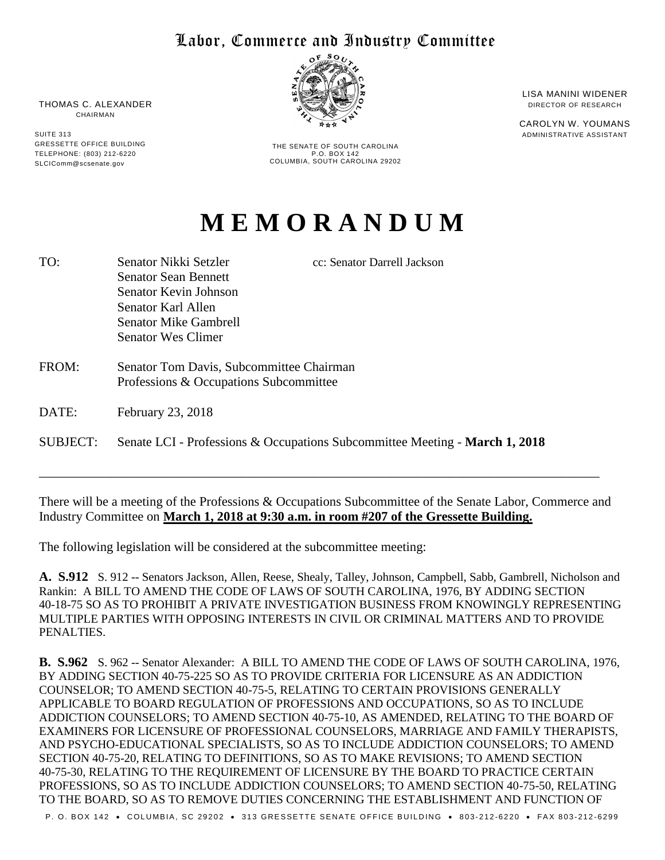## Labor, Commerce and Industry Committee



THE SENATE OF SOUTH CAROLINA P.O. BOX 142 COLUMBIA, SOUTH CAROLINA 29202 LISA MANINI WIDENER DIRECTOR OF RESEARCH

CAROLYN W. YOUMANS ADMINISTRATIVE ASSISTANT

## **M E M O R A N D U M**

- TO: Senator Nikki Setzler cc: Senator Darrell Jackson Senator Sean Bennett Senator Kevin Johnson Senator Karl Allen Senator Mike Gambrell Senator Wes Climer
- FROM: Senator Tom Davis, Subcommittee Chairman Professions & Occupations Subcommittee
- DATE: February 23, 2018
- SUBJECT: Senate LCI Professions & Occupations Subcommittee Meeting **March 1, 2018**

There will be a meeting of the Professions & Occupations Subcommittee of the Senate Labor, Commerce and Industry Committee on **March 1, 2018 at 9:30 a.m. in room #207 of the Gressette Building.** 

\_\_\_\_\_\_\_\_\_\_\_\_\_\_\_\_\_\_\_\_\_\_\_\_\_\_\_\_\_\_\_\_\_\_\_\_\_\_\_\_\_\_\_\_\_\_\_\_\_\_\_\_\_\_\_\_\_\_\_\_\_\_\_\_\_\_\_\_\_\_\_\_\_\_\_\_\_\_\_\_\_\_\_\_\_\_

The following legislation will be considered at the subcommittee meeting:

**A. S.912** S. 912 -- Senators Jackson, Allen, Reese, Shealy, Talley, Johnson, Campbell, Sabb, Gambrell, Nicholson and Rankin: A BILL TO AMEND THE CODE OF LAWS OF SOUTH CAROLINA, 1976, BY ADDING SECTION 40-18-75 SO AS TO PROHIBIT A PRIVATE INVESTIGATION BUSINESS FROM KNOWINGLY REPRESENTING MULTIPLE PARTIES WITH OPPOSING INTERESTS IN CIVIL OR CRIMINAL MATTERS AND TO PROVIDE PENALTIES.

**B. S.962** S. 962 -- Senator Alexander: A BILL TO AMEND THE CODE OF LAWS OF SOUTH CAROLINA, 1976, BY ADDING SECTION 40-75-225 SO AS TO PROVIDE CRITERIA FOR LICENSURE AS AN ADDICTION COUNSELOR; TO AMEND SECTION 40-75-5, RELATING TO CERTAIN PROVISIONS GENERALLY APPLICABLE TO BOARD REGULATION OF PROFESSIONS AND OCCUPATIONS, SO AS TO INCLUDE ADDICTION COUNSELORS; TO AMEND SECTION 40-75-10, AS AMENDED, RELATING TO THE BOARD OF EXAMINERS FOR LICENSURE OF PROFESSIONAL COUNSELORS, MARRIAGE AND FAMILY THERAPISTS, AND PSYCHO-EDUCATIONAL SPECIALISTS, SO AS TO INCLUDE ADDICTION COUNSELORS; TO AMEND SECTION 40-75-20, RELATING TO DEFINITIONS, SO AS TO MAKE REVISIONS; TO AMEND SECTION 40-75-30, RELATING TO THE REQUIREMENT OF LICENSURE BY THE BOARD TO PRACTICE CERTAIN PROFESSIONS, SO AS TO INCLUDE ADDICTION COUNSELORS; TO AMEND SECTION 40-75-50, RELATING TO THE BOARD, SO AS TO REMOVE DUTIES CONCERNING THE ESTABLISHMENT AND FUNCTION OF

P. O. BOX 142 . COLUMBIA, SC 29202 . 313 GRESSETTE SENATE OFFICE BUILDING . 803-212-6220 . FAX 803-212-6299

THOMAS C. ALEXANDER CHAIRMAN

SUITE 313 GRESSETTE OFFICE BUILDING TELEPHONE: (803) 212-6220 SLCIComm@scsenate.gov